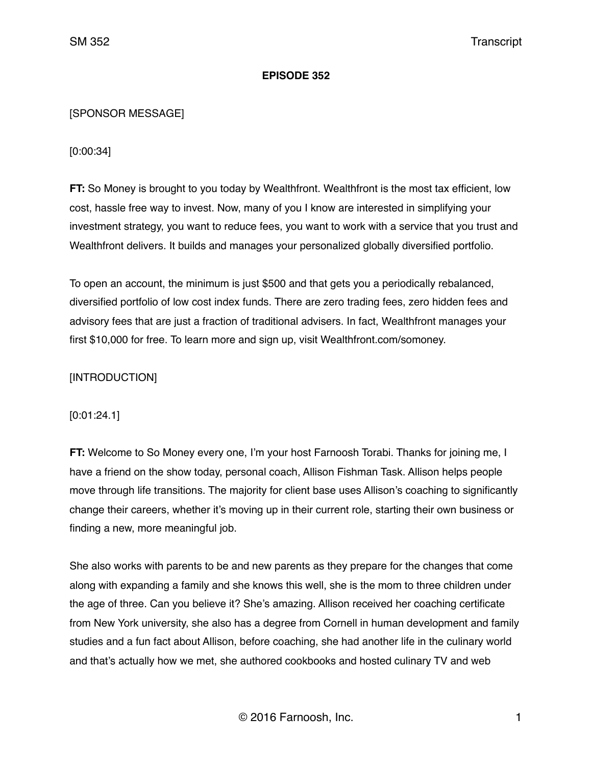### **EPISODE 352**

## [SPONSOR MESSAGE]

[0:00:34]

**FT:** So Money is brought to you today by Wealthfront. Wealthfront is the most tax efficient, low cost, hassle free way to invest. Now, many of you I know are interested in simplifying your investment strategy, you want to reduce fees, you want to work with a service that you trust and Wealthfront delivers. It builds and manages your personalized globally diversified portfolio.

To open an account, the minimum is just \$500 and that gets you a periodically rebalanced, diversified portfolio of low cost index funds. There are zero trading fees, zero hidden fees and advisory fees that are just a fraction of traditional advisers. In fact, Wealthfront manages your first \$10,000 for free. To learn more and sign up, visit Wealthfront.com/somoney.

# [INTRODUCTION]

### [0:01:24.1]

**FT:** Welcome to So Money every one, I'm your host Farnoosh Torabi. Thanks for joining me, I have a friend on the show today, personal coach, Allison Fishman Task. Allison helps people move through life transitions. The majority for client base uses Allison's coaching to significantly change their careers, whether it's moving up in their current role, starting their own business or finding a new, more meaningful job.

She also works with parents to be and new parents as they prepare for the changes that come along with expanding a family and she knows this well, she is the mom to three children under the age of three. Can you believe it? She's amazing. Allison received her coaching certificate from New York university, she also has a degree from Cornell in human development and family studies and a fun fact about Allison, before coaching, she had another life in the culinary world and that's actually how we met, she authored cookbooks and hosted culinary TV and web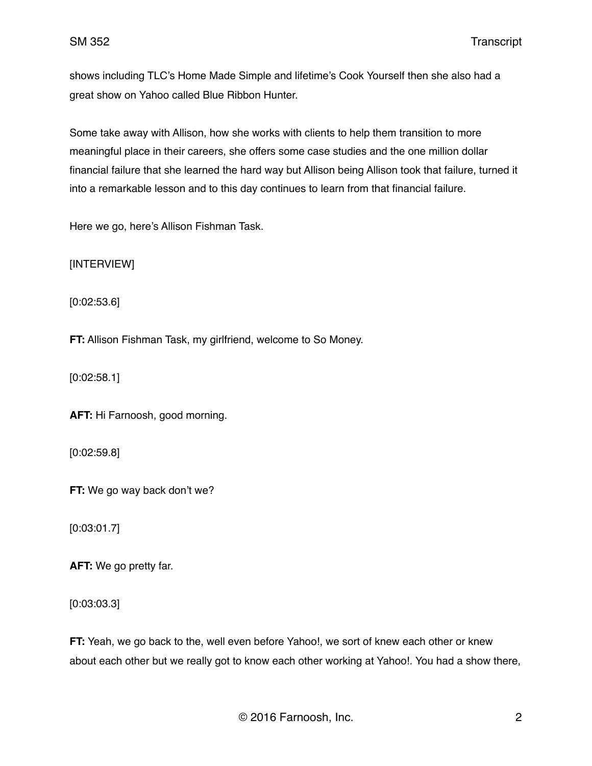shows including TLC's Home Made Simple and lifetime's Cook Yourself then she also had a great show on Yahoo called Blue Ribbon Hunter.

Some take away with Allison, how she works with clients to help them transition to more meaningful place in their careers, she offers some case studies and the one million dollar financial failure that she learned the hard way but Allison being Allison took that failure, turned it into a remarkable lesson and to this day continues to learn from that financial failure.

Here we go, here's Allison Fishman Task.

[INTERVIEW]

[0:02:53.6]

**FT:** Allison Fishman Task, my girlfriend, welcome to So Money.

[0:02:58.1]

**AFT:** Hi Farnoosh, good morning.

[0:02:59.8]

**FT:** We go way back don't we?

[0:03:01.7]

**AFT:** We go pretty far.

[0:03:03.3]

**FT:** Yeah, we go back to the, well even before Yahoo!, we sort of knew each other or knew about each other but we really got to know each other working at Yahoo!. You had a show there,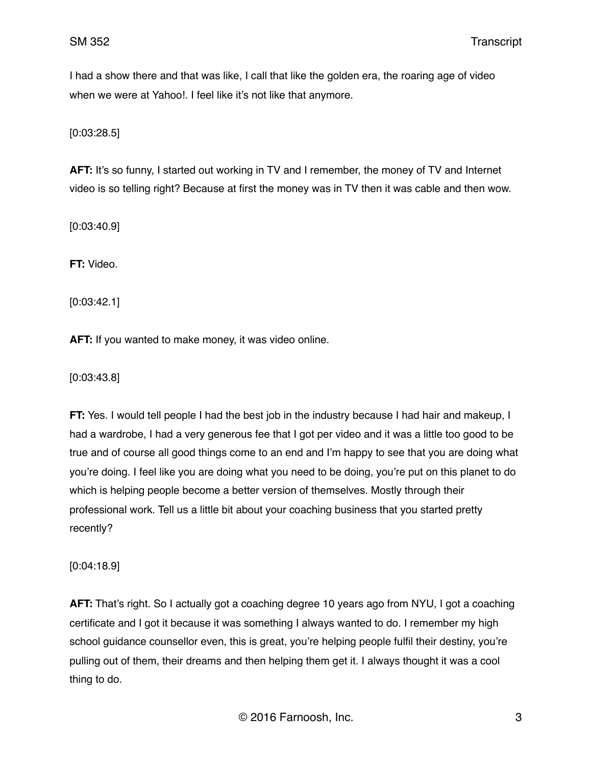I had a show there and that was like, I call that like the golden era, the roaring age of video when we were at Yahoo!. I feel like it's not like that anymore.

[0:03:28.5]

AFT: It's so funny, I started out working in TV and I remember, the money of TV and Internet video is so telling right? Because at first the money was in TV then it was cable and then wow.

[0:03:40.9]

**FT:** Video.

[0:03:42.1]

**AFT:** If you wanted to make money, it was video online.

[0:03:43.8]

**FT:** Yes. I would tell people I had the best job in the industry because I had hair and makeup, I had a wardrobe, I had a very generous fee that I got per video and it was a little too good to be true and of course all good things come to an end and I'm happy to see that you are doing what you're doing. I feel like you are doing what you need to be doing, you're put on this planet to do which is helping people become a better version of themselves. Mostly through their professional work. Tell us a little bit about your coaching business that you started pretty recently?

[0:04:18.9]

**AFT:** That's right. So I actually got a coaching degree 10 years ago from NYU, I got a coaching certificate and I got it because it was something I always wanted to do. I remember my high school guidance counsellor even, this is great, you're helping people fulfil their destiny, you're pulling out of them, their dreams and then helping them get it. I always thought it was a cool thing to do.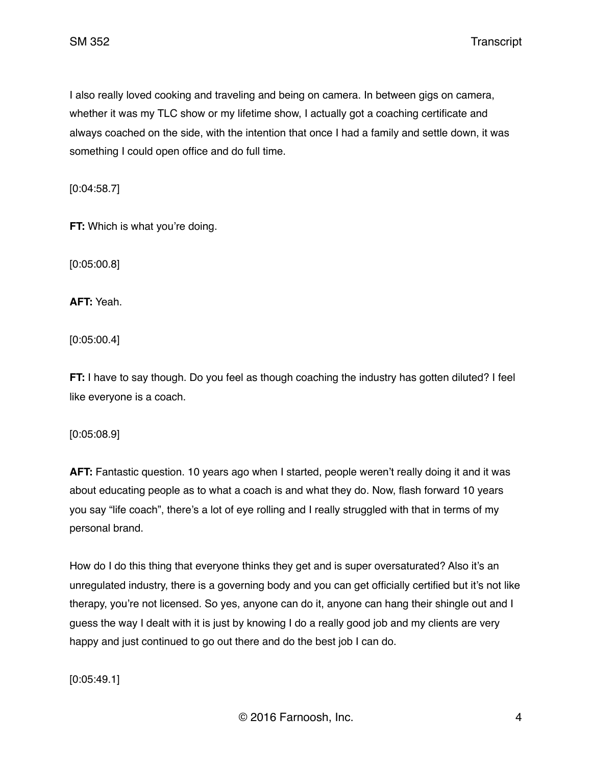I also really loved cooking and traveling and being on camera. In between gigs on camera, whether it was my TLC show or my lifetime show, I actually got a coaching certificate and always coached on the side, with the intention that once I had a family and settle down, it was something I could open office and do full time.

[0:04:58.7]

**FT:** Which is what you're doing.

[0:05:00.8]

**AFT:** Yeah.

[0:05:00.4]

**FT:** I have to say though. Do you feel as though coaching the industry has gotten diluted? I feel like everyone is a coach.

[0:05:08.9]

**AFT:** Fantastic question. 10 years ago when I started, people weren't really doing it and it was about educating people as to what a coach is and what they do. Now, flash forward 10 years you say "life coach", there's a lot of eye rolling and I really struggled with that in terms of my personal brand.

How do I do this thing that everyone thinks they get and is super oversaturated? Also it's an unregulated industry, there is a governing body and you can get officially certified but it's not like therapy, you're not licensed. So yes, anyone can do it, anyone can hang their shingle out and I guess the way I dealt with it is just by knowing I do a really good job and my clients are very happy and just continued to go out there and do the best job I can do.

[0:05:49.1]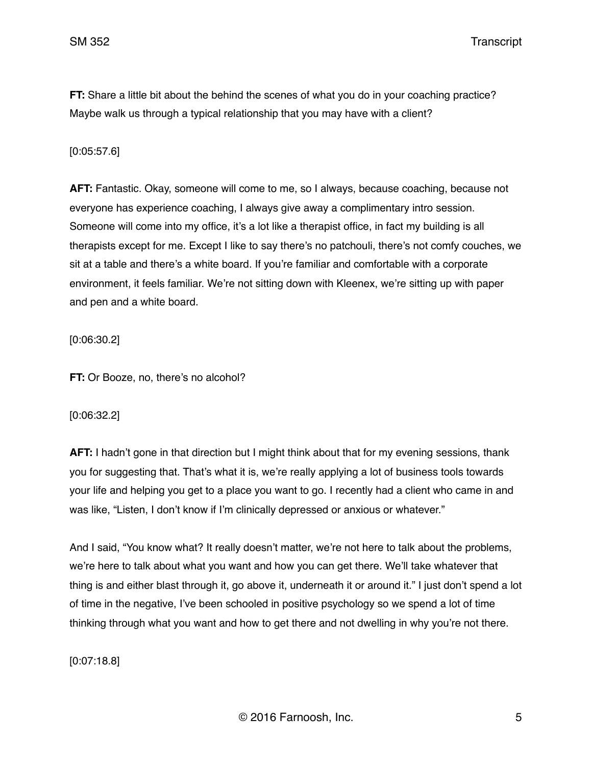**FT:** Share a little bit about the behind the scenes of what you do in your coaching practice? Maybe walk us through a typical relationship that you may have with a client?

#### [0:05:57.6]

**AFT:** Fantastic. Okay, someone will come to me, so I always, because coaching, because not everyone has experience coaching, I always give away a complimentary intro session. Someone will come into my office, it's a lot like a therapist office, in fact my building is all therapists except for me. Except I like to say there's no patchouli, there's not comfy couches, we sit at a table and there's a white board. If you're familiar and comfortable with a corporate environment, it feels familiar. We're not sitting down with Kleenex, we're sitting up with paper and pen and a white board.

[0:06:30.2]

**FT:** Or Booze, no, there's no alcohol?

[0:06:32.2]

**AFT:** I hadn't gone in that direction but I might think about that for my evening sessions, thank you for suggesting that. That's what it is, we're really applying a lot of business tools towards your life and helping you get to a place you want to go. I recently had a client who came in and was like, "Listen, I don't know if I'm clinically depressed or anxious or whatever."

And I said, "You know what? It really doesn't matter, we're not here to talk about the problems, we're here to talk about what you want and how you can get there. We'll take whatever that thing is and either blast through it, go above it, underneath it or around it." I just don't spend a lot of time in the negative, I've been schooled in positive psychology so we spend a lot of time thinking through what you want and how to get there and not dwelling in why you're not there.

[0:07:18.8]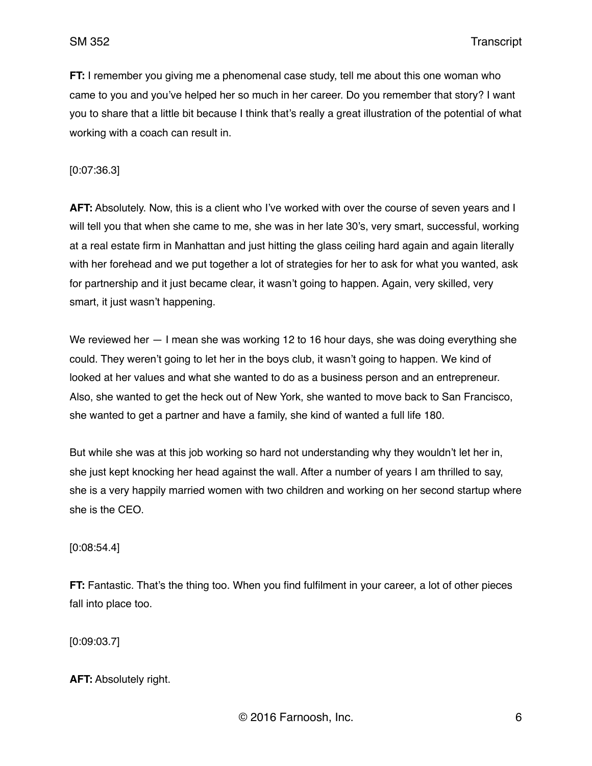**FT:** I remember you giving me a phenomenal case study, tell me about this one woman who came to you and you've helped her so much in her career. Do you remember that story? I want you to share that a little bit because I think that's really a great illustration of the potential of what working with a coach can result in.

[0:07:36.3]

**AFT:** Absolutely. Now, this is a client who I've worked with over the course of seven years and I will tell you that when she came to me, she was in her late 30's, very smart, successful, working at a real estate firm in Manhattan and just hitting the glass ceiling hard again and again literally with her forehead and we put together a lot of strategies for her to ask for what you wanted, ask for partnership and it just became clear, it wasn't going to happen. Again, very skilled, very smart, it just wasn't happening.

We reviewed her  $-1$  mean she was working 12 to 16 hour days, she was doing everything she could. They weren't going to let her in the boys club, it wasn't going to happen. We kind of looked at her values and what she wanted to do as a business person and an entrepreneur. Also, she wanted to get the heck out of New York, she wanted to move back to San Francisco, she wanted to get a partner and have a family, she kind of wanted a full life 180.

But while she was at this job working so hard not understanding why they wouldn't let her in, she just kept knocking her head against the wall. After a number of years I am thrilled to say, she is a very happily married women with two children and working on her second startup where she is the CEO.

[0:08:54.4]

**FT:** Fantastic. That's the thing too. When you find fulfilment in your career, a lot of other pieces fall into place too.

[0:09:03.7]

**AFT:** Absolutely right.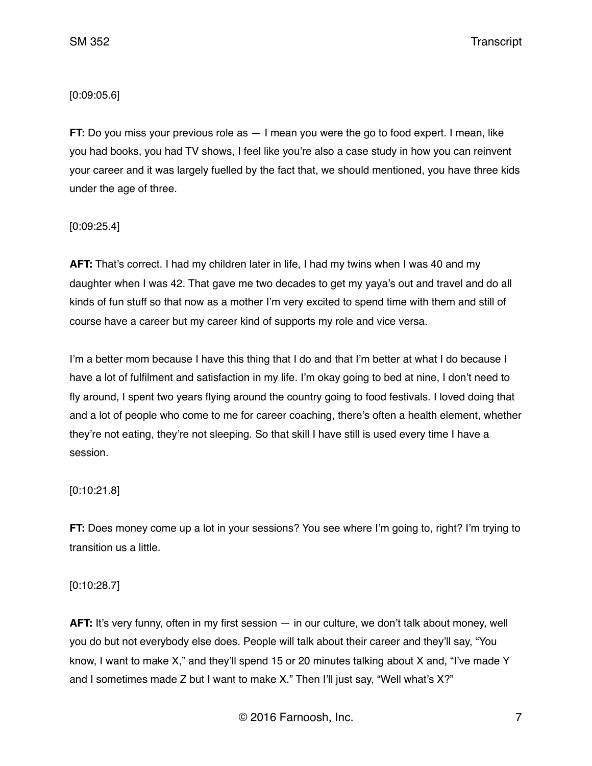### [0:09:05.6]

**FT:** Do you miss your previous role as  $-1$  mean you were the go to food expert. I mean, like you had books, you had TV shows, I feel like you're also a case study in how you can reinvent your career and it was largely fuelled by the fact that, we should mentioned, you have three kids under the age of three.

[0:09:25.4]

**AFT:** That's correct. I had my children later in life, I had my twins when I was 40 and my daughter when I was 42. That gave me two decades to get my yaya's out and travel and do all kinds of fun stuff so that now as a mother I'm very excited to spend time with them and still of course have a career but my career kind of supports my role and vice versa.

I'm a better mom because I have this thing that I do and that I'm better at what I do because I have a lot of fulfilment and satisfaction in my life. I'm okay going to bed at nine, I don't need to fly around, I spent two years flying around the country going to food festivals. I loved doing that and a lot of people who come to me for career coaching, there's often a health element, whether they're not eating, they're not sleeping. So that skill I have still is used every time I have a session.

### [0:10:21.8]

**FT:** Does money come up a lot in your sessions? You see where I'm going to, right? I'm trying to transition us a little.

[0:10:28.7]

**AFT:** It's very funny, often in my first session — in our culture, we don't talk about money, well you do but not everybody else does. People will talk about their career and they'll say, "You know, I want to make X," and they'll spend 15 or 20 minutes talking about X and, "I've made Y and I sometimes made Z but I want to make X." Then I'll just say, "Well what's X?"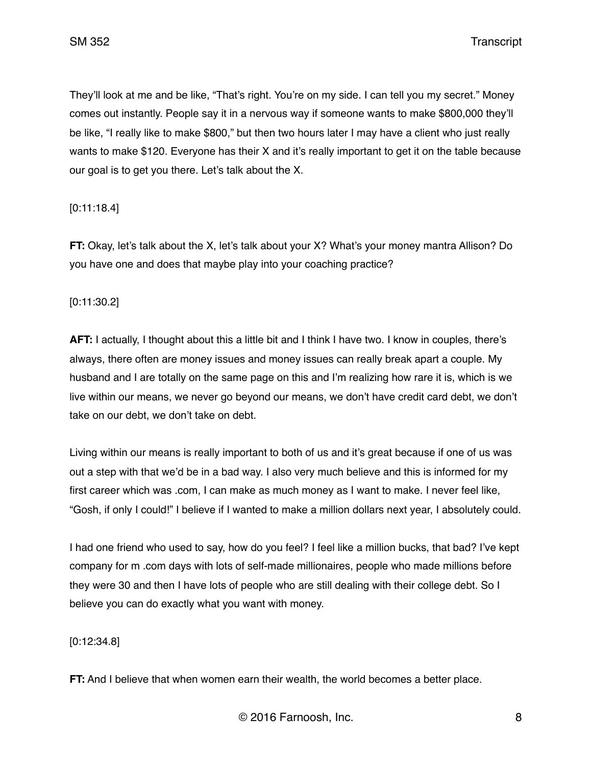They'll look at me and be like, "That's right. You're on my side. I can tell you my secret." Money comes out instantly. People say it in a nervous way if someone wants to make \$800,000 they'll be like, "I really like to make \$800," but then two hours later I may have a client who just really wants to make \$120. Everyone has their X and it's really important to get it on the table because our goal is to get you there. Let's talk about the X.

[0:11:18.4]

**FT:** Okay, let's talk about the X, let's talk about your X? What's your money mantra Allison? Do you have one and does that maybe play into your coaching practice?

[0:11:30.2]

**AFT:** I actually, I thought about this a little bit and I think I have two. I know in couples, there's always, there often are money issues and money issues can really break apart a couple. My husband and I are totally on the same page on this and I'm realizing how rare it is, which is we live within our means, we never go beyond our means, we don't have credit card debt, we don't take on our debt, we don't take on debt.

Living within our means is really important to both of us and it's great because if one of us was out a step with that we'd be in a bad way. I also very much believe and this is informed for my first career which was .com, I can make as much money as I want to make. I never feel like, "Gosh, if only I could!" I believe if I wanted to make a million dollars next year, I absolutely could.

I had one friend who used to say, how do you feel? I feel like a million bucks, that bad? I've kept company for m .com days with lots of self-made millionaires, people who made millions before they were 30 and then I have lots of people who are still dealing with their college debt. So I believe you can do exactly what you want with money.

[0:12:34.8]

**FT:** And I believe that when women earn their wealth, the world becomes a better place.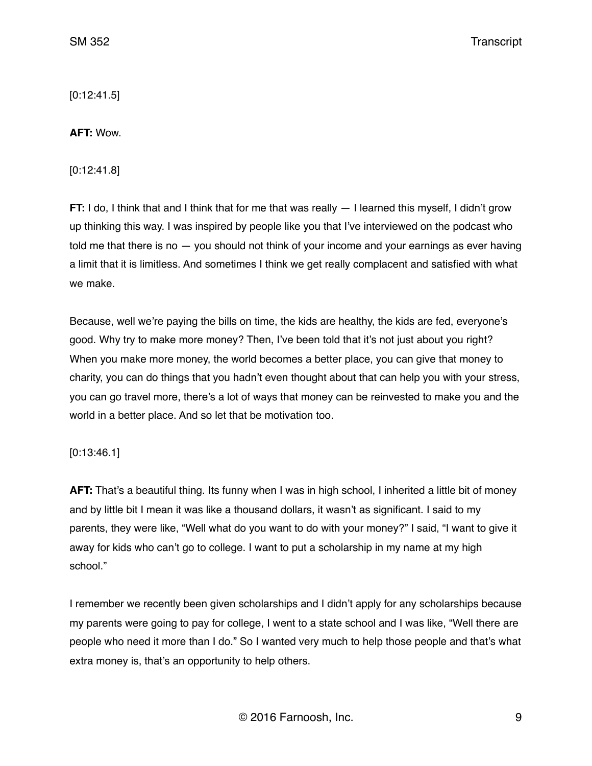[0:12:41.5]

**AFT:** Wow.

[0:12:41.8]

**FT:** I do, I think that and I think that for me that was really — I learned this myself, I didn't grow up thinking this way. I was inspired by people like you that I've interviewed on the podcast who told me that there is no — you should not think of your income and your earnings as ever having a limit that it is limitless. And sometimes I think we get really complacent and satisfied with what we make.

Because, well we're paying the bills on time, the kids are healthy, the kids are fed, everyone's good. Why try to make more money? Then, I've been told that it's not just about you right? When you make more money, the world becomes a better place, you can give that money to charity, you can do things that you hadn't even thought about that can help you with your stress, you can go travel more, there's a lot of ways that money can be reinvested to make you and the world in a better place. And so let that be motivation too.

[0:13:46.1]

**AFT:** That's a beautiful thing. Its funny when I was in high school, I inherited a little bit of money and by little bit I mean it was like a thousand dollars, it wasn't as significant. I said to my parents, they were like, "Well what do you want to do with your money?" I said, "I want to give it away for kids who can't go to college. I want to put a scholarship in my name at my high school."

I remember we recently been given scholarships and I didn't apply for any scholarships because my parents were going to pay for college, I went to a state school and I was like, "Well there are people who need it more than I do." So I wanted very much to help those people and that's what extra money is, that's an opportunity to help others.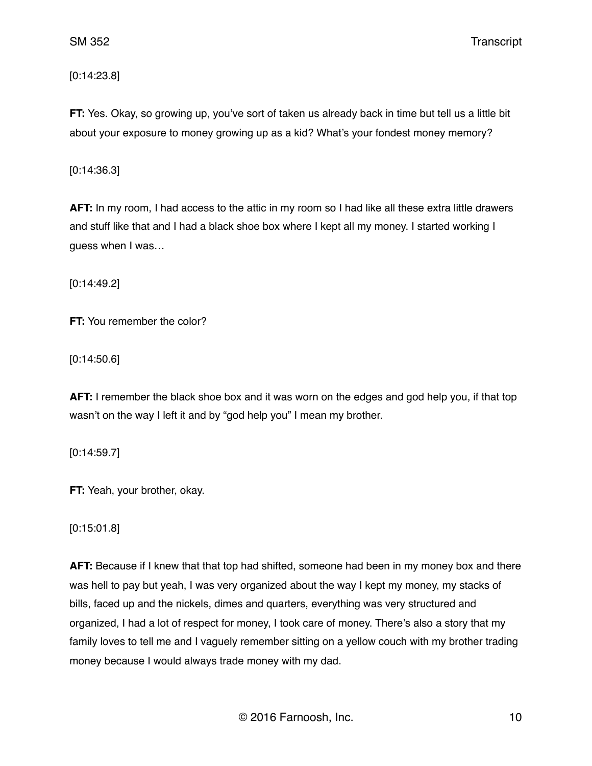[0:14:23.8]

**FT:** Yes. Okay, so growing up, you've sort of taken us already back in time but tell us a little bit about your exposure to money growing up as a kid? What's your fondest money memory?

[0:14:36.3]

**AFT:** In my room, I had access to the attic in my room so I had like all these extra little drawers and stuff like that and I had a black shoe box where I kept all my money. I started working I guess when I was…

[0:14:49.2]

**FT:** You remember the color?

[0:14:50.6]

**AFT:** I remember the black shoe box and it was worn on the edges and god help you, if that top wasn't on the way I left it and by "god help you" I mean my brother.

[0:14:59.7]

**FT:** Yeah, your brother, okay.

[0:15:01.8]

**AFT:** Because if I knew that that top had shifted, someone had been in my money box and there was hell to pay but yeah, I was very organized about the way I kept my money, my stacks of bills, faced up and the nickels, dimes and quarters, everything was very structured and organized, I had a lot of respect for money, I took care of money. There's also a story that my family loves to tell me and I vaguely remember sitting on a yellow couch with my brother trading money because I would always trade money with my dad.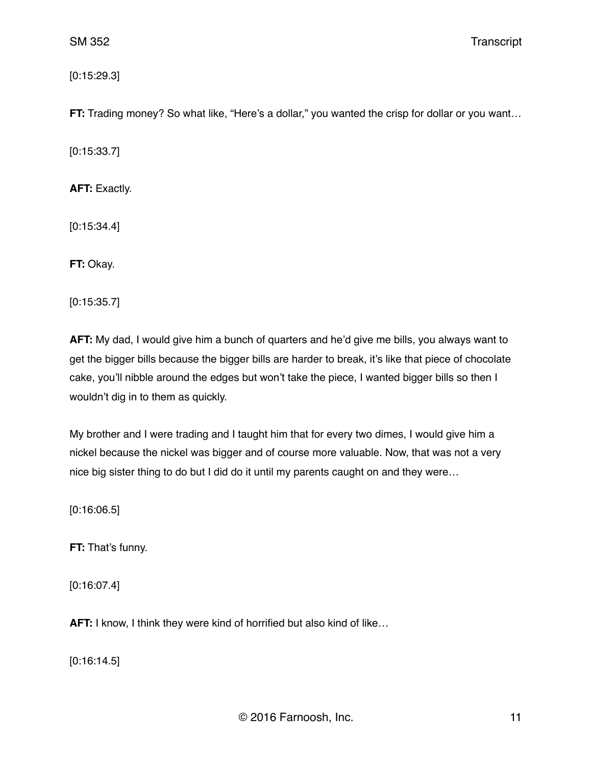[0:15:29.3]

**FT:** Trading money? So what like, "Here's a dollar," you wanted the crisp for dollar or you want...

[0:15:33.7]

**AFT:** Exactly.

[0:15:34.4]

**FT:** Okay.

[0:15:35.7]

**AFT:** My dad, I would give him a bunch of quarters and he'd give me bills, you always want to get the bigger bills because the bigger bills are harder to break, it's like that piece of chocolate cake, you'll nibble around the edges but won't take the piece, I wanted bigger bills so then I wouldn't dig in to them as quickly.

My brother and I were trading and I taught him that for every two dimes, I would give him a nickel because the nickel was bigger and of course more valuable. Now, that was not a very nice big sister thing to do but I did do it until my parents caught on and they were…

[0:16:06.5]

**FT:** That's funny.

[0:16:07.4]

**AFT:** I know, I think they were kind of horrified but also kind of like...

[0:16:14.5]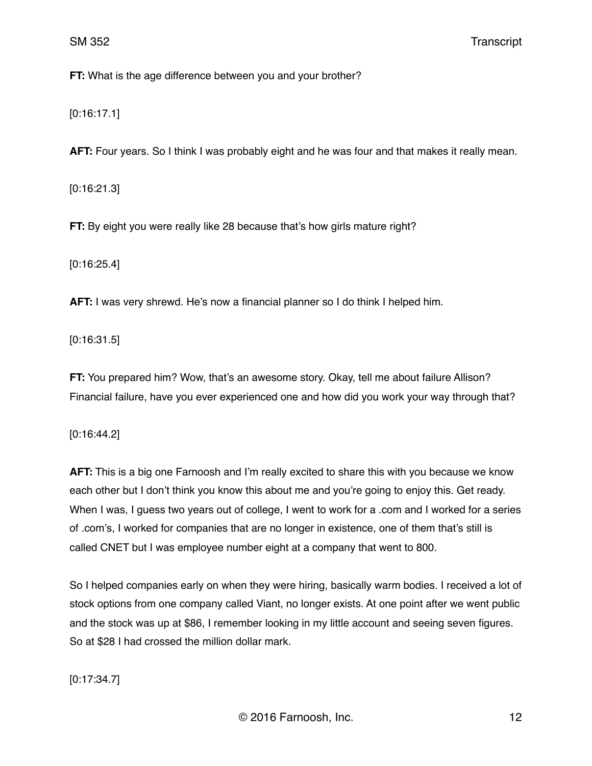**FT:** What is the age difference between you and your brother?

[0:16:17.1]

**AFT:** Four years. So I think I was probably eight and he was four and that makes it really mean.

[0:16:21.3]

**FT:** By eight you were really like 28 because that's how girls mature right?

[0:16:25.4]

**AFT:** I was very shrewd. He's now a financial planner so I do think I helped him.

[0:16:31.5]

**FT:** You prepared him? Wow, that's an awesome story. Okay, tell me about failure Allison? Financial failure, have you ever experienced one and how did you work your way through that?

[0:16:44.2]

**AFT:** This is a big one Farnoosh and I'm really excited to share this with you because we know each other but I don't think you know this about me and you're going to enjoy this. Get ready. When I was, I guess two years out of college, I went to work for a .com and I worked for a series of .com's, I worked for companies that are no longer in existence, one of them that's still is called CNET but I was employee number eight at a company that went to 800.

So I helped companies early on when they were hiring, basically warm bodies. I received a lot of stock options from one company called Viant, no longer exists. At one point after we went public and the stock was up at \$86, I remember looking in my little account and seeing seven figures. So at \$28 I had crossed the million dollar mark.

[0:17:34.7]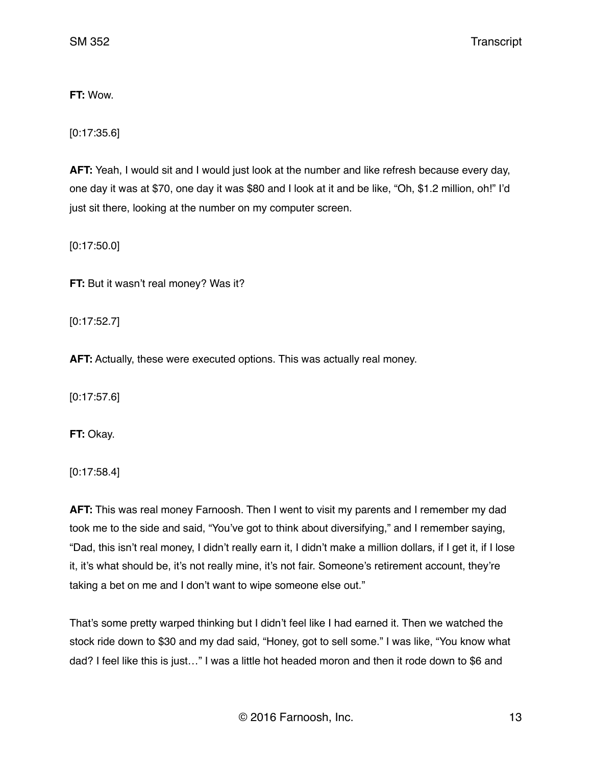**FT:** Wow.

[0:17:35.6]

**AFT:** Yeah, I would sit and I would just look at the number and like refresh because every day, one day it was at \$70, one day it was \$80 and I look at it and be like, "Oh, \$1.2 million, oh!" I'd just sit there, looking at the number on my computer screen.

[0:17:50.0]

**FT:** But it wasn't real money? Was it?

[0:17:52.7]

**AFT:** Actually, these were executed options. This was actually real money.

[0:17:57.6]

**FT:** Okay.

[0:17:58.4]

**AFT:** This was real money Farnoosh. Then I went to visit my parents and I remember my dad took me to the side and said, "You've got to think about diversifying," and I remember saying, "Dad, this isn't real money, I didn't really earn it, I didn't make a million dollars, if I get it, if I lose it, it's what should be, it's not really mine, it's not fair. Someone's retirement account, they're taking a bet on me and I don't want to wipe someone else out."

That's some pretty warped thinking but I didn't feel like I had earned it. Then we watched the stock ride down to \$30 and my dad said, "Honey, got to sell some." I was like, "You know what dad? I feel like this is just…" I was a little hot headed moron and then it rode down to \$6 and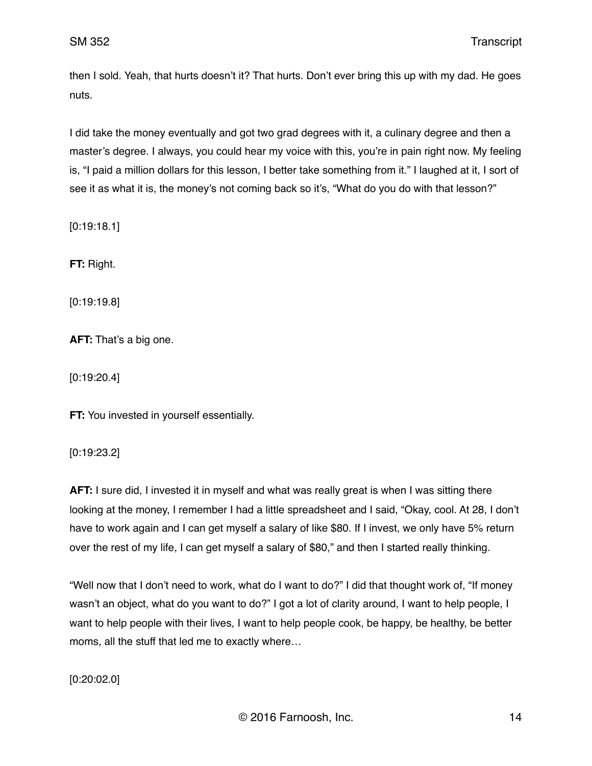then I sold. Yeah, that hurts doesn't it? That hurts. Don't ever bring this up with my dad. He goes nuts.

I did take the money eventually and got two grad degrees with it, a culinary degree and then a master's degree. I always, you could hear my voice with this, you're in pain right now. My feeling is, "I paid a million dollars for this lesson, I better take something from it." I laughed at it, I sort of see it as what it is, the money's not coming back so it's, "What do you do with that lesson?"

[0:19:18.1]

**FT:** Right.

[0:19:19.8]

**AFT:** That's a big one.

[0:19:20.4]

**FT:** You invested in yourself essentially.

[0:19:23.2]

**AFT:** I sure did, I invested it in myself and what was really great is when I was sitting there looking at the money, I remember I had a little spreadsheet and I said, "Okay, cool. At 28, I don't have to work again and I can get myself a salary of like \$80. If I invest, we only have 5% return over the rest of my life, I can get myself a salary of \$80," and then I started really thinking.

"Well now that I don't need to work, what do I want to do?" I did that thought work of, "If money wasn't an object, what do you want to do?" I got a lot of clarity around, I want to help people, I want to help people with their lives, I want to help people cook, be happy, be healthy, be better moms, all the stuff that led me to exactly where…

[0:20:02.0]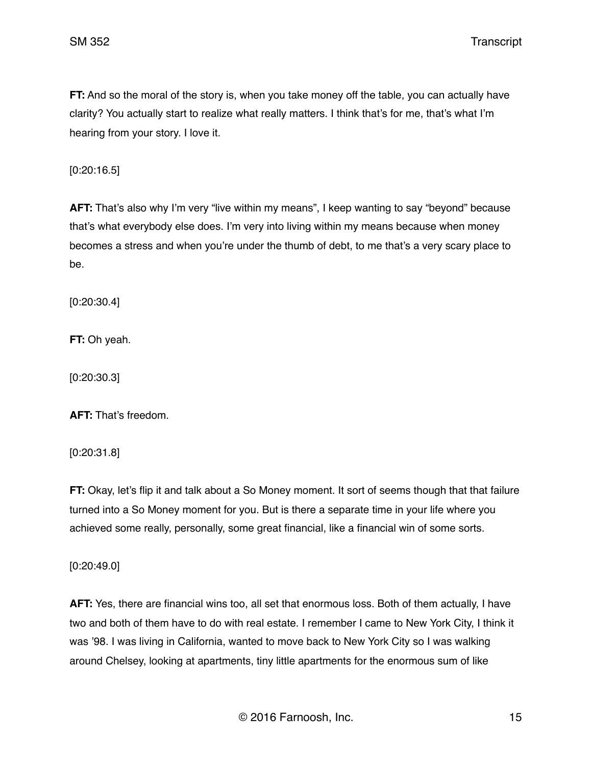**FT:** And so the moral of the story is, when you take money off the table, you can actually have clarity? You actually start to realize what really matters. I think that's for me, that's what I'm hearing from your story. I love it.

[0:20:16.5]

**AFT:** That's also why I'm very "live within my means", I keep wanting to say "beyond" because that's what everybody else does. I'm very into living within my means because when money becomes a stress and when you're under the thumb of debt, to me that's a very scary place to be.

[0:20:30.4]

**FT:** Oh yeah.

[0:20:30.3]

**AFT:** That's freedom.

[0:20:31.8]

**FT:** Okay, let's flip it and talk about a So Money moment. It sort of seems though that that failure turned into a So Money moment for you. But is there a separate time in your life where you achieved some really, personally, some great financial, like a financial win of some sorts.

[0:20:49.0]

**AFT:** Yes, there are financial wins too, all set that enormous loss. Both of them actually, I have two and both of them have to do with real estate. I remember I came to New York City, I think it was '98. I was living in California, wanted to move back to New York City so I was walking around Chelsey, looking at apartments, tiny little apartments for the enormous sum of like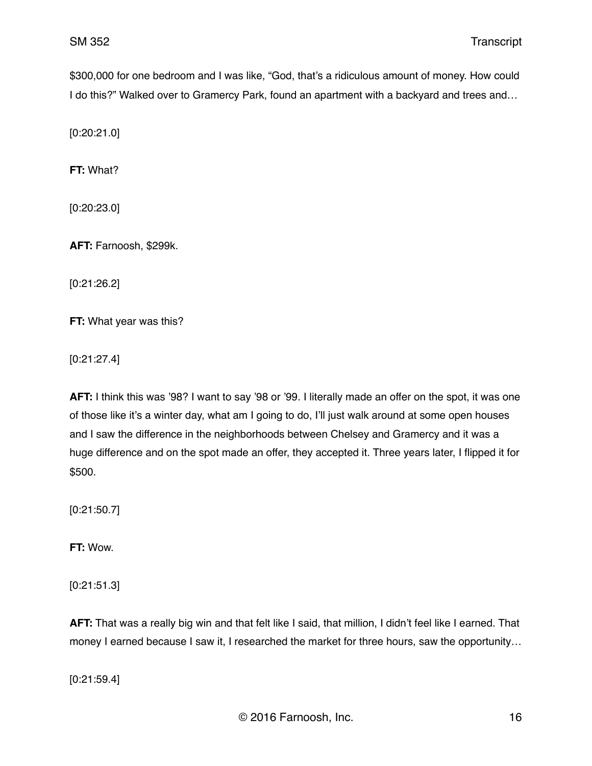\$300,000 for one bedroom and I was like, "God, that's a ridiculous amount of money. How could I do this?" Walked over to Gramercy Park, found an apartment with a backyard and trees and…

[0:20:21.0]

**FT:** What?

[0:20:23.0]

**AFT:** Farnoosh, \$299k.

[0:21:26.2]

**FT:** What year was this?

[0:21:27.4]

**AFT:** I think this was '98? I want to say '98 or '99. I literally made an offer on the spot, it was one of those like it's a winter day, what am I going to do, I'll just walk around at some open houses and I saw the difference in the neighborhoods between Chelsey and Gramercy and it was a huge difference and on the spot made an offer, they accepted it. Three years later, I flipped it for \$500.

[0:21:50.7]

**FT:** Wow.

[0:21:51.3]

**AFT:** That was a really big win and that felt like I said, that million, I didn't feel like I earned. That money I earned because I saw it, I researched the market for three hours, saw the opportunity…

[0:21:59.4]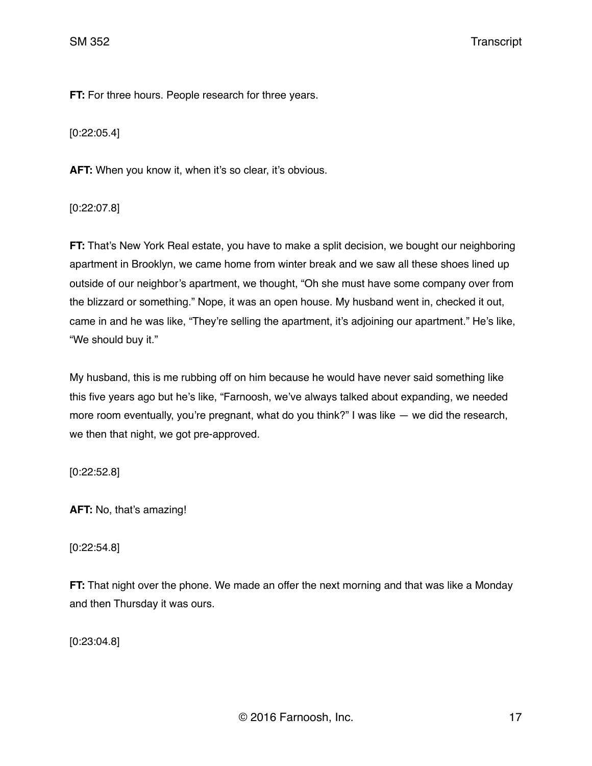**FT:** For three hours. People research for three years.

[0:22:05.4]

AFT: When you know it, when it's so clear, it's obvious.

[0:22:07.8]

**FT:** That's New York Real estate, you have to make a split decision, we bought our neighboring apartment in Brooklyn, we came home from winter break and we saw all these shoes lined up outside of our neighbor's apartment, we thought, "Oh she must have some company over from the blizzard or something." Nope, it was an open house. My husband went in, checked it out, came in and he was like, "They're selling the apartment, it's adjoining our apartment." He's like, "We should buy it."

My husband, this is me rubbing off on him because he would have never said something like this five years ago but he's like, "Farnoosh, we've always talked about expanding, we needed more room eventually, you're pregnant, what do you think?" I was like — we did the research, we then that night, we got pre-approved.

[0:22:52.8]

**AFT:** No, that's amazing!

[0:22:54.8]

**FT:** That night over the phone. We made an offer the next morning and that was like a Monday and then Thursday it was ours.

[0:23:04.8]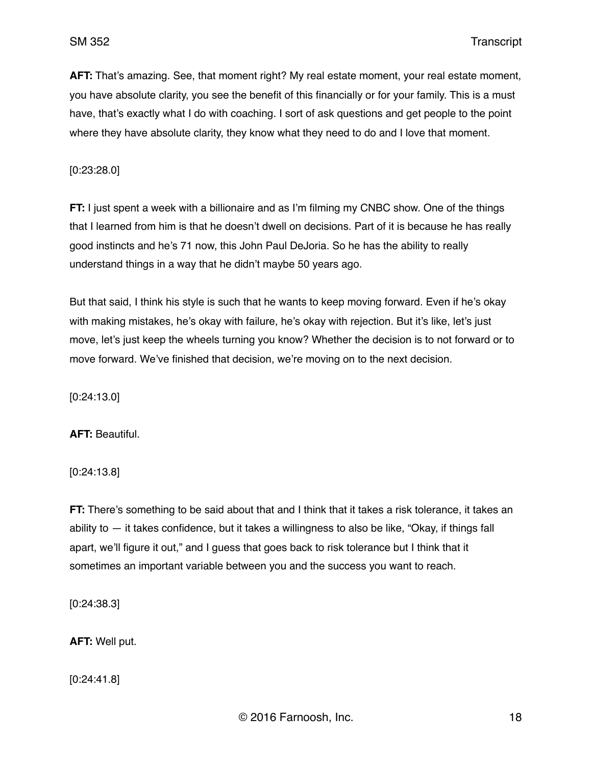**AFT:** That's amazing. See, that moment right? My real estate moment, your real estate moment, you have absolute clarity, you see the benefit of this financially or for your family. This is a must have, that's exactly what I do with coaching. I sort of ask questions and get people to the point where they have absolute clarity, they know what they need to do and I love that moment.

[0:23:28.0]

**FT:** I just spent a week with a billionaire and as I'm filming my CNBC show. One of the things that I learned from him is that he doesn't dwell on decisions. Part of it is because he has really good instincts and he's 71 now, this John Paul DeJoria. So he has the ability to really understand things in a way that he didn't maybe 50 years ago.

But that said, I think his style is such that he wants to keep moving forward. Even if he's okay with making mistakes, he's okay with failure, he's okay with rejection. But it's like, let's just move, let's just keep the wheels turning you know? Whether the decision is to not forward or to move forward. We've finished that decision, we're moving on to the next decision.

[0:24:13.0]

**AFT:** Beautiful.

[0:24:13.8]

**FT:** There's something to be said about that and I think that it takes a risk tolerance, it takes an ability to  $-$  it takes confidence, but it takes a willingness to also be like, "Okay, if things fall apart, we'll figure it out," and I guess that goes back to risk tolerance but I think that it sometimes an important variable between you and the success you want to reach.

[0:24:38.3]

**AFT:** Well put.

[0:24:41.8]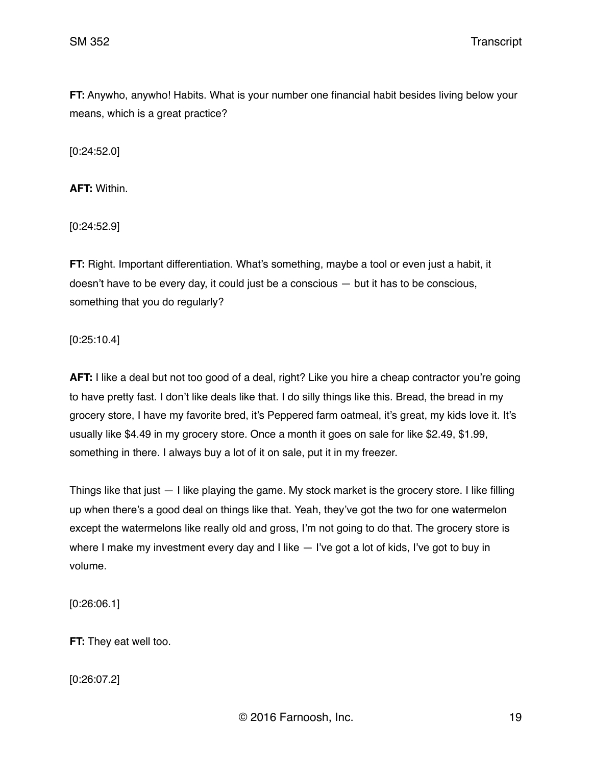**FT:** Anywho, anywho! Habits. What is your number one financial habit besides living below your means, which is a great practice?

[0:24:52.0]

**AFT:** Within.

[0:24:52.9]

**FT:** Right. Important differentiation. What's something, maybe a tool or even just a habit, it doesn't have to be every day, it could just be a conscious — but it has to be conscious, something that you do regularly?

[0:25:10.4]

**AFT:** I like a deal but not too good of a deal, right? Like you hire a cheap contractor you're going to have pretty fast. I don't like deals like that. I do silly things like this. Bread, the bread in my grocery store, I have my favorite bred, it's Peppered farm oatmeal, it's great, my kids love it. It's usually like \$4.49 in my grocery store. Once a month it goes on sale for like \$2.49, \$1.99, something in there. I always buy a lot of it on sale, put it in my freezer.

Things like that just — I like playing the game. My stock market is the grocery store. I like filling up when there's a good deal on things like that. Yeah, they've got the two for one watermelon except the watermelons like really old and gross, I'm not going to do that. The grocery store is where I make my investment every day and I like  $-$  I've got a lot of kids, I've got to buy in volume.

[0:26:06.1]

**FT:** They eat well too.

[0:26:07.2]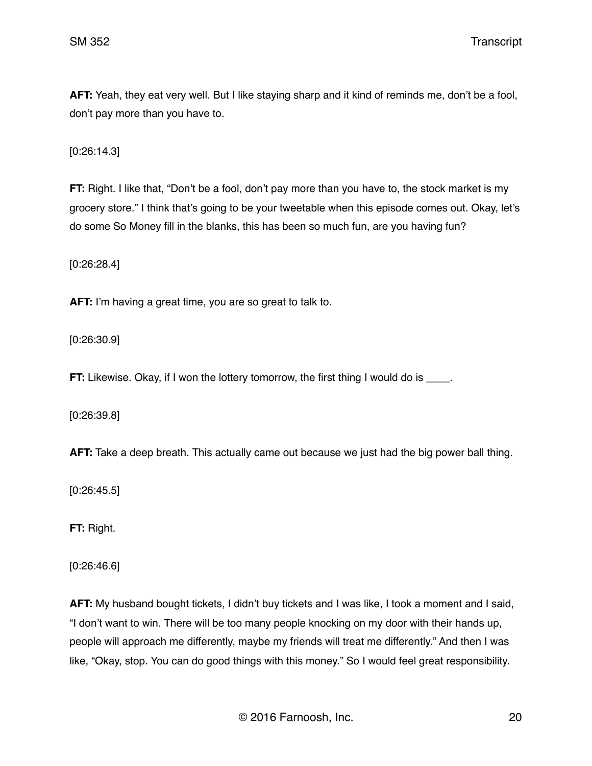**AFT:** Yeah, they eat very well. But I like staying sharp and it kind of reminds me, don't be a fool, don't pay more than you have to.

[0:26:14.3]

**FT:** Right. I like that, "Don't be a fool, don't pay more than you have to, the stock market is my grocery store." I think that's going to be your tweetable when this episode comes out. Okay, let's do some So Money fill in the blanks, this has been so much fun, are you having fun?

[0:26:28.4]

**AFT:** I'm having a great time, you are so great to talk to.

[0:26:30.9]

**FT:** Likewise. Okay, if I won the lottery tomorrow, the first thing I would do is \_\_\_\_.

[0:26:39.8]

**AFT:** Take a deep breath. This actually came out because we just had the big power ball thing.

[0:26:45.5]

**FT:** Right.

[0:26:46.6]

**AFT:** My husband bought tickets, I didn't buy tickets and I was like, I took a moment and I said, "I don't want to win. There will be too many people knocking on my door with their hands up, people will approach me differently, maybe my friends will treat me differently." And then I was like, "Okay, stop. You can do good things with this money." So I would feel great responsibility.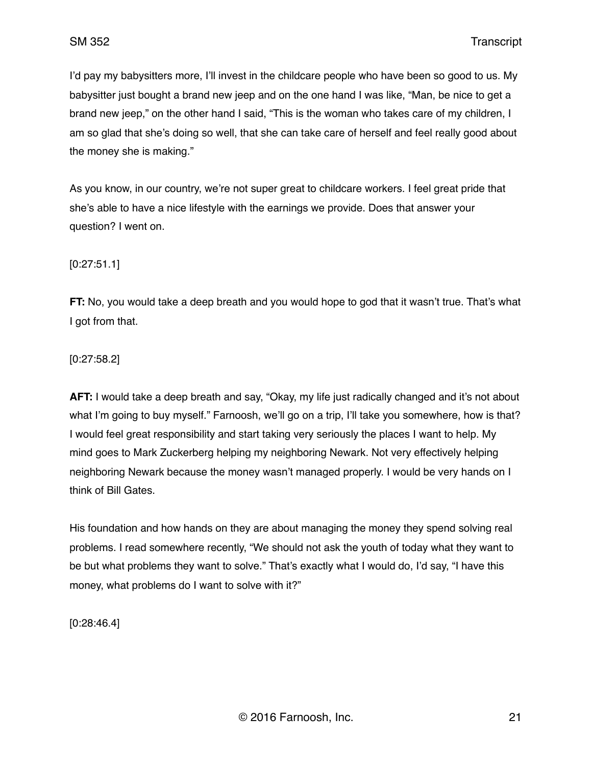I'd pay my babysitters more, I'll invest in the childcare people who have been so good to us. My babysitter just bought a brand new jeep and on the one hand I was like, "Man, be nice to get a brand new jeep," on the other hand I said, "This is the woman who takes care of my children, I am so glad that she's doing so well, that she can take care of herself and feel really good about the money she is making."

As you know, in our country, we're not super great to childcare workers. I feel great pride that she's able to have a nice lifestyle with the earnings we provide. Does that answer your question? I went on.

[0:27:51.1]

**FT:** No, you would take a deep breath and you would hope to god that it wasn't true. That's what I got from that.

[0:27:58.2]

**AFT:** I would take a deep breath and say, "Okay, my life just radically changed and it's not about what I'm going to buy myself." Farnoosh, we'll go on a trip, I'll take you somewhere, how is that? I would feel great responsibility and start taking very seriously the places I want to help. My mind goes to Mark Zuckerberg helping my neighboring Newark. Not very effectively helping neighboring Newark because the money wasn't managed properly. I would be very hands on I think of Bill Gates.

His foundation and how hands on they are about managing the money they spend solving real problems. I read somewhere recently, "We should not ask the youth of today what they want to be but what problems they want to solve." That's exactly what I would do, I'd say, "I have this money, what problems do I want to solve with it?"

[0:28:46.4]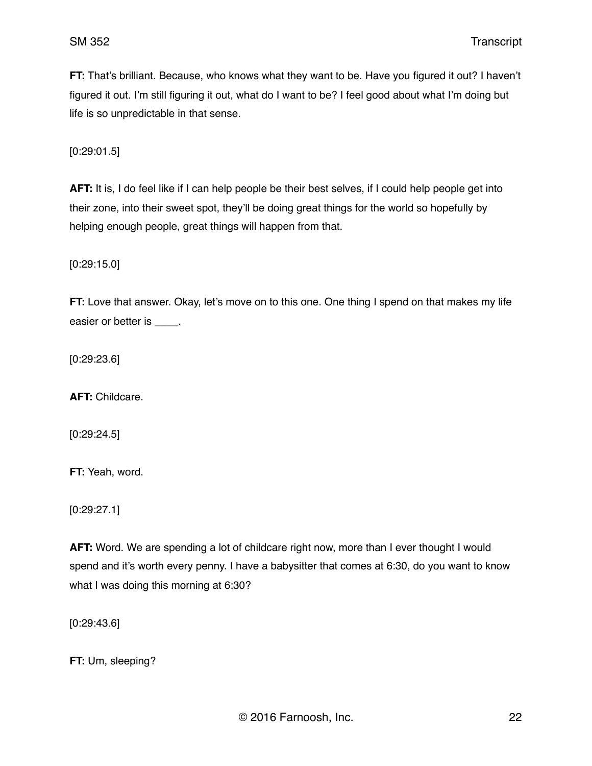**FT:** That's brilliant. Because, who knows what they want to be. Have you figured it out? I haven't figured it out. I'm still figuring it out, what do I want to be? I feel good about what I'm doing but life is so unpredictable in that sense.

[0:29:01.5]

**AFT:** It is, I do feel like if I can help people be their best selves, if I could help people get into their zone, into their sweet spot, they'll be doing great things for the world so hopefully by helping enough people, great things will happen from that.

[0:29:15.0]

**FT:** Love that answer. Okay, let's move on to this one. One thing I spend on that makes my life easier or better is  $\qquad \qquad$ .

[0:29:23.6]

**AFT:** Childcare.

[0:29:24.5]

**FT:** Yeah, word.

[0:29:27.1]

**AFT:** Word. We are spending a lot of childcare right now, more than I ever thought I would spend and it's worth every penny. I have a babysitter that comes at 6:30, do you want to know what I was doing this morning at 6:30?

[0:29:43.6]

**FT:** Um, sleeping?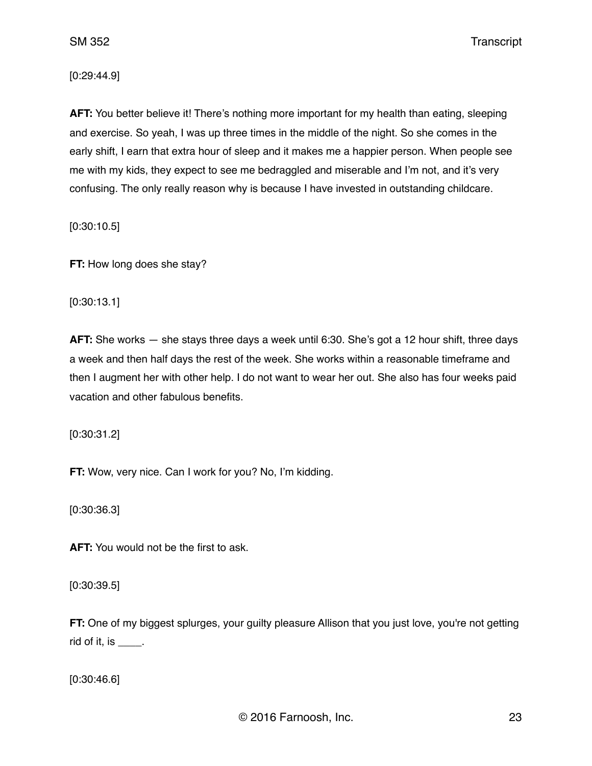[0:29:44.9]

**AFT:** You better believe it! There's nothing more important for my health than eating, sleeping and exercise. So yeah, I was up three times in the middle of the night. So she comes in the early shift, I earn that extra hour of sleep and it makes me a happier person. When people see me with my kids, they expect to see me bedraggled and miserable and I'm not, and it's very confusing. The only really reason why is because I have invested in outstanding childcare.

[0:30:10.5]

**FT:** How long does she stay?

[0:30:13.1]

**AFT:** She works — she stays three days a week until 6:30. She's got a 12 hour shift, three days a week and then half days the rest of the week. She works within a reasonable timeframe and then I augment her with other help. I do not want to wear her out. She also has four weeks paid vacation and other fabulous benefits.

[0:30:31.2]

**FT:** Wow, very nice. Can I work for you? No, I'm kidding.

[0:30:36.3]

**AFT:** You would not be the first to ask.

[0:30:39.5]

**FT:** One of my biggest splurges, your guilty pleasure Allison that you just love, you're not getting rid of it, is  $\frac{1}{\sqrt{2}}$ .

[0:30:46.6]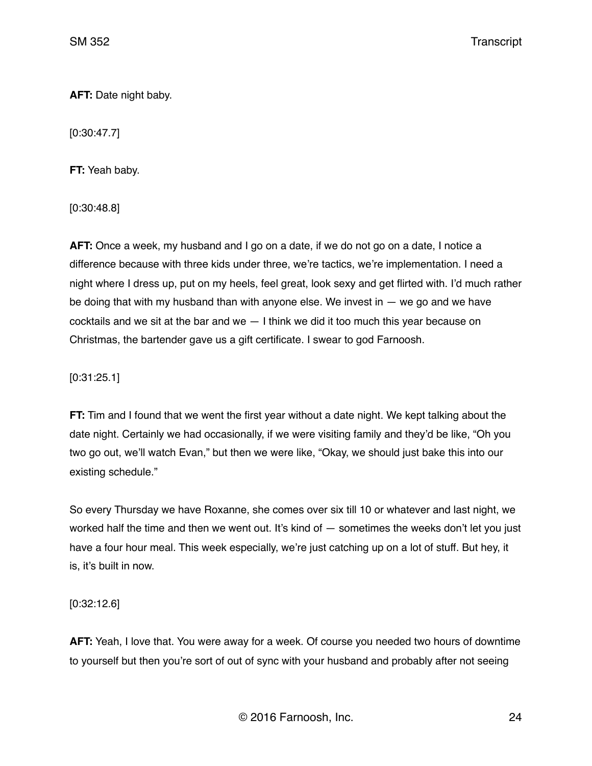**AFT:** Date night baby.

[0:30:47.7]

**FT:** Yeah baby.

[0:30:48.8]

**AFT:** Once a week, my husband and I go on a date, if we do not go on a date, I notice a difference because with three kids under three, we're tactics, we're implementation. I need a night where I dress up, put on my heels, feel great, look sexy and get flirted with. I'd much rather be doing that with my husband than with anyone else. We invest in  $-$  we go and we have cocktails and we sit at the bar and we  $-1$  think we did it too much this year because on Christmas, the bartender gave us a gift certificate. I swear to god Farnoosh.

[0:31:25.1]

**FT:** Tim and I found that we went the first year without a date night. We kept talking about the date night. Certainly we had occasionally, if we were visiting family and they'd be like, "Oh you two go out, we'll watch Evan," but then we were like, "Okay, we should just bake this into our existing schedule."

So every Thursday we have Roxanne, she comes over six till 10 or whatever and last night, we worked half the time and then we went out. It's kind of — sometimes the weeks don't let you just have a four hour meal. This week especially, we're just catching up on a lot of stuff. But hey, it is, it's built in now.

[0:32:12.6]

**AFT:** Yeah, I love that. You were away for a week. Of course you needed two hours of downtime to yourself but then you're sort of out of sync with your husband and probably after not seeing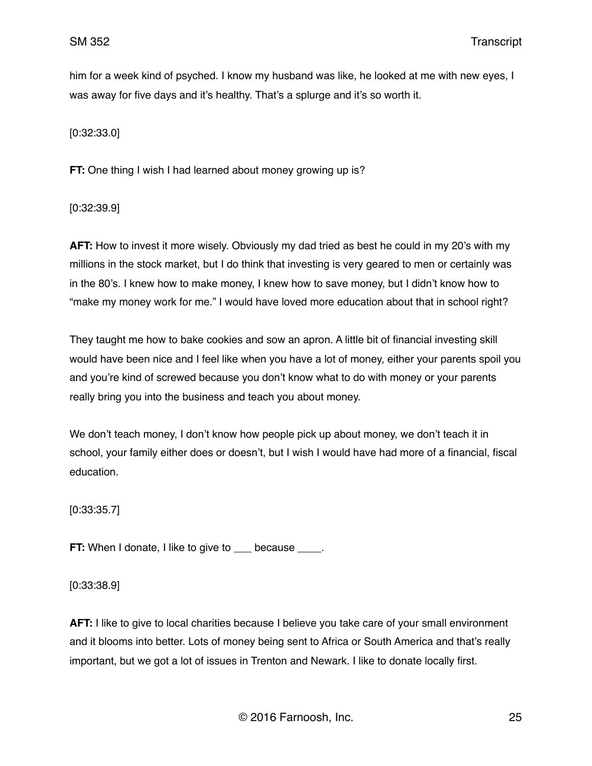him for a week kind of psyched. I know my husband was like, he looked at me with new eyes, I was away for five days and it's healthy. That's a splurge and it's so worth it.

[0:32:33.0]

**FT:** One thing I wish I had learned about money growing up is?

[0:32:39.9]

**AFT:** How to invest it more wisely. Obviously my dad tried as best he could in my 20's with my millions in the stock market, but I do think that investing is very geared to men or certainly was in the 80's. I knew how to make money, I knew how to save money, but I didn't know how to "make my money work for me." I would have loved more education about that in school right?

They taught me how to bake cookies and sow an apron. A little bit of financial investing skill would have been nice and I feel like when you have a lot of money, either your parents spoil you and you're kind of screwed because you don't know what to do with money or your parents really bring you into the business and teach you about money.

We don't teach money, I don't know how people pick up about money, we don't teach it in school, your family either does or doesn't, but I wish I would have had more of a financial, fiscal education.

[0:33:35.7]

**FT:** When I donate, I like to give to \_\_\_ because \_\_\_\_.

[0:33:38.9]

**AFT:** I like to give to local charities because I believe you take care of your small environment and it blooms into better. Lots of money being sent to Africa or South America and that's really important, but we got a lot of issues in Trenton and Newark. I like to donate locally first.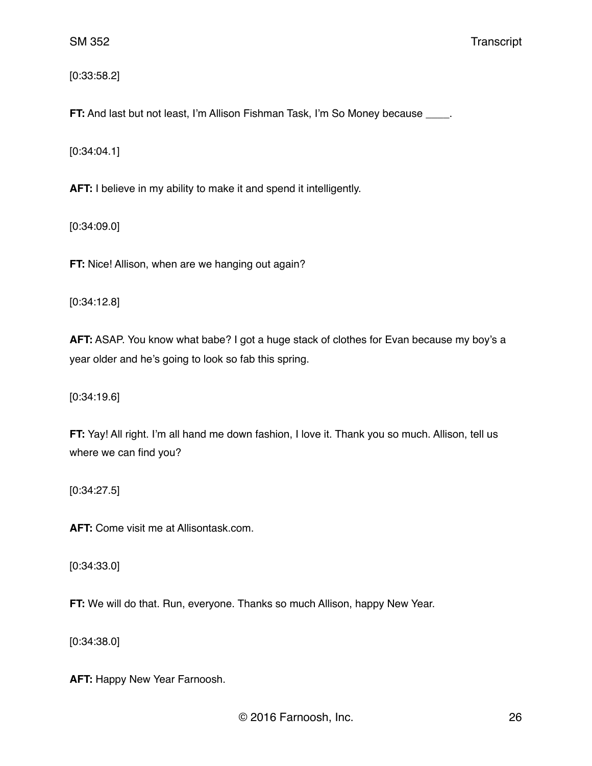[0:33:58.2]

**FT:** And last but not least, I'm Allison Fishman Task, I'm So Money because \_\_\_\_.

[0:34:04.1]

**AFT:** I believe in my ability to make it and spend it intelligently.

[0:34:09.0]

**FT:** Nice! Allison, when are we hanging out again?

[0:34:12.8]

**AFT:** ASAP. You know what babe? I got a huge stack of clothes for Evan because my boy's a year older and he's going to look so fab this spring.

[0:34:19.6]

**FT:** Yay! All right. I'm all hand me down fashion, I love it. Thank you so much. Allison, tell us where we can find you?

[0:34:27.5]

**AFT:** Come visit me at Allisontask.com.

[0:34:33.0]

**FT:** We will do that. Run, everyone. Thanks so much Allison, happy New Year.

[0:34:38.0]

**AFT:** Happy New Year Farnoosh.